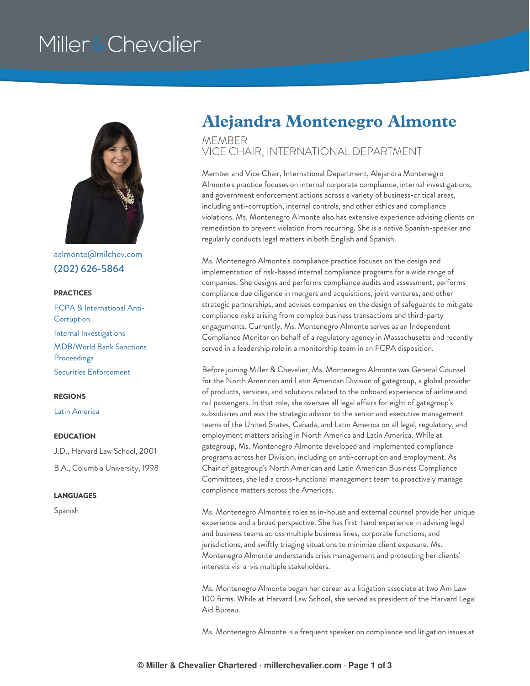# Miller & Chevalier



[aalmonte@milchev.com](mailto:aalmonte@milchev.com) (202) [626-5864](tel:202-626-5864)

#### **PRACTICES**

FCPA & [International](https://www.millerchevalier.com/practice-area/fcpa-international-anti-corruption) Anti-**Corruption** Internal [Investigations](https://www.millerchevalier.com/practice-area/internal-investigations) [MDB/World](https://www.millerchevalier.com/practice-area/mdbworld-bank-sanctions-proceedings) Bank Sanctions **Proceedings** Securities [Enforcement](https://www.millerchevalier.com/practice-area/securities-enforcement)

#### **REGIONS**

Latin [America](https://www.millerchevalier.com/region/latin-america)

#### **EDUCATION**

J.D., Harvard Law School, 2001

B.A., Columbia University, 1998

#### **LANGUAGES**

Spanish

# **Alejandra Montenegro Almonte**

MEMBER VICE CHAIR, INTERNATIONAL DEPARTMENT

Member and Vice Chair, International Department, Alejandra Montenegro Almonte's practice focuses on internal corporate compliance, internal investigations, and government enforcement actions across a variety of business-critical areas, including anti-corruption, internal controls, and other ethics and compliance violations. Ms. Montenegro Almonte also has extensive experience advising clients on remediation to prevent violation from recurring. She is a native Spanish-speaker and regularly conducts legal matters in both English and Spanish.

Ms. Montenegro Almonte's compliance practice focuses on the design and implementation of risk-based internal compliance programs for a wide range of companies. She designs and performs compliance audits and assessment, performs compliance due diligence in mergers and acquisitions, joint ventures, and other strategic partnerships, and advises companies on the design of safeguards to mitigate compliance risks arising from complex business transactions and third-party engagements. Currently, Ms. Montenegro Almonte serves as an Independent Compliance Monitor on behalf of a regulatory agency in Massachusetts and recently served in a leadership role in a monitorship team in an FCPA disposition.

Before joining Miller & Chevalier, Ms. Montenegro Almonte was General Counsel for the North American and Latin American Division of gategroup, a global provider of products, services, and solutions related to the onboard experience of airline and rail passengers. In that role, she oversaw all legal affairs for eight of gategroup's subsidiaries and was the strategic advisor to the senior and executive management teams of the United States, Canada, and Latin America on all legal, regulatory, and employment matters arising in North America and Latin America. While at gategroup, Ms. Montenegro Almonte developed and implemented compliance programs across her Division, including on anti-corruption and employment. As Chair of gategroup's North American and Latin American Business Compliance Committees, she led a cross-functional management team to proactively manage compliance matters across the Americas.

Ms. Montenegro Almonte's roles as in-house and external counsel provide her unique experience and a broad perspective. She has first-hand experience in advising legal and business teams across multiple business lines, corporate functions, and jurisdictions, and swiftly triaging situations to minimize client exposure. Ms. Montenegro Almonte understands crisis management and protecting her clients' interests vis-a-vis multiple stakeholders.

Ms. Montenegro Almonte began her career as a litigation associate at two Am Law 100 firms. While at Harvard Law School, she served as president of the Harvard Legal Aid Bureau.

Ms. Montenegro Almonte is a frequent speaker on compliance and litigation issues at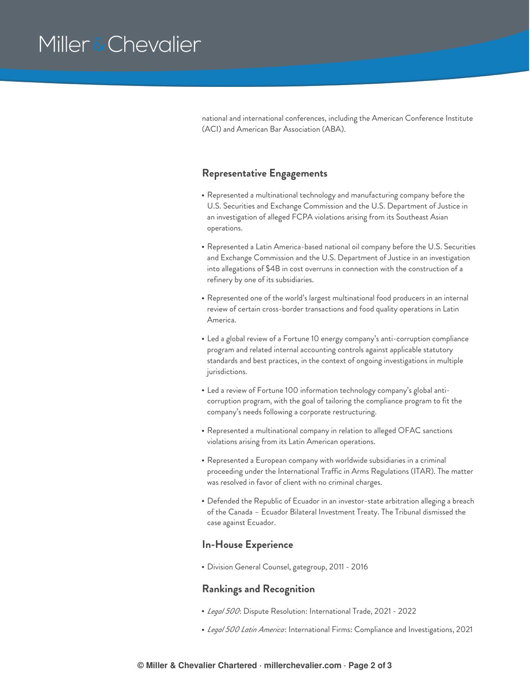# Miller & Chevalier

national and international conferences, including the American Conference Institute (ACI) and American Bar Association (ABA).

### **Representative Engagements**

- Represented a multinational technology and manufacturing company before the U.S. Securities and Exchange Commission and the U.S. Department of Justice in an investigation of alleged FCPA violations arising from its Southeast Asian operations.
- Represented a Latin America-based national oil company before the U.S. Securities and Exchange Commission and the U.S. Department of Justice in an investigation into allegations of \$4B in cost overruns in connection with the construction of a refinery by one of its subsidiaries.
- Represented one of the world's largest multinational food producers in an internal review of certain cross-border transactions and food quality operations in Latin America.
- Led a global review of a Fortune 10 energy company's anti-corruption compliance program and related internal accounting controls against applicable statutory standards and best practices, in the context of ongoing investigations in multiple jurisdictions.
- Led a review of Fortune 100 information technology company's global anticorruption program, with the goal of tailoring the compliance program to fit the company's needs following a corporate restructuring.
- Represented a multinational company in relation to alleged OFAC sanctions violations arising from its Latin American operations.
- Represented a European company with worldwide subsidiaries in a criminal proceeding under the International Traffic in Arms Regulations (ITAR). The matter was resolved in favor of client with no criminal charges.
- Defended the Republic of Ecuador in an investor-state arbitration alleging a breach of the Canada – Ecuador Bilateral Investment Treaty. The Tribunal dismissed the case against Ecuador.

### **In-House Experience**

Division General Counsel, gategroup, 2011 - 2016

# **Rankings and Recognition**

- *Legal 500*: Dispute Resolution: International Trade, 2021 2022
- *Legal 500 Latin America*: International Firms: Compliance and Investigations, 2021